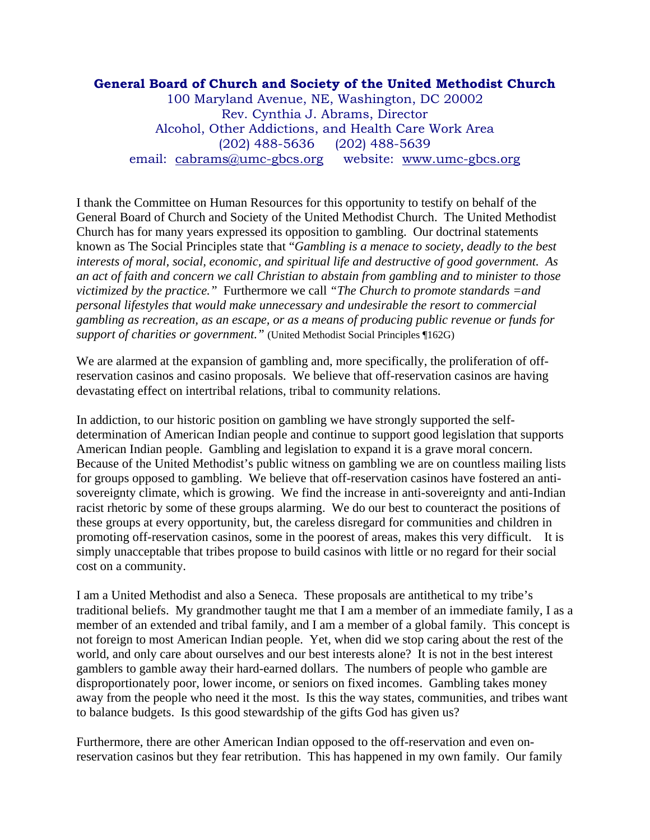## **General Board of Church and Society of the United Methodist Church**

100 Maryland Avenue, NE, Washington, DC 20002 Rev. Cynthia J. Abrams, Director Alcohol, Other Addictions, and Health Care Work Area (202) 488-5636 (202) 488-5639 email: cabrams@umc-gbcs.org website: www.umc-gbcs.org

I thank the Committee on Human Resources for this opportunity to testify on behalf of the General Board of Church and Society of the United Methodist Church. The United Methodist Church has for many years expressed its opposition to gambling. Our doctrinal statements known as The Social Principles state that "*Gambling is a menace to society, deadly to the best interests of moral, social, economic, and spiritual life and destructive of good government. As an act of faith and concern we call Christian to abstain from gambling and to minister to those victimized by the practice."* Furthermore we call *"The Church to promote standards =and personal lifestyles that would make unnecessary and undesirable the resort to commercial gambling as recreation, as an escape, or as a means of producing public revenue or funds for support of charities or government."* (United Methodist Social Principles ¶162G)

We are alarmed at the expansion of gambling and, more specifically, the proliferation of offreservation casinos and casino proposals. We believe that off-reservation casinos are having devastating effect on intertribal relations, tribal to community relations.

In addiction, to our historic position on gambling we have strongly supported the selfdetermination of American Indian people and continue to support good legislation that supports American Indian people. Gambling and legislation to expand it is a grave moral concern. Because of the United Methodist's public witness on gambling we are on countless mailing lists for groups opposed to gambling. We believe that off-reservation casinos have fostered an antisovereignty climate, which is growing. We find the increase in anti-sovereignty and anti-Indian racist rhetoric by some of these groups alarming. We do our best to counteract the positions of these groups at every opportunity, but, the careless disregard for communities and children in promoting off-reservation casinos, some in the poorest of areas, makes this very difficult. It is simply unacceptable that tribes propose to build casinos with little or no regard for their social cost on a community.

I am a United Methodist and also a Seneca. These proposals are antithetical to my tribe's traditional beliefs. My grandmother taught me that I am a member of an immediate family, I as a member of an extended and tribal family, and I am a member of a global family. This concept is not foreign to most American Indian people. Yet, when did we stop caring about the rest of the world, and only care about ourselves and our best interests alone? It is not in the best interest gamblers to gamble away their hard-earned dollars. The numbers of people who gamble are disproportionately poor, lower income, or seniors on fixed incomes. Gambling takes money away from the people who need it the most. Is this the way states, communities, and tribes want to balance budgets. Is this good stewardship of the gifts God has given us?

Furthermore, there are other American Indian opposed to the off-reservation and even onreservation casinos but they fear retribution. This has happened in my own family. Our family